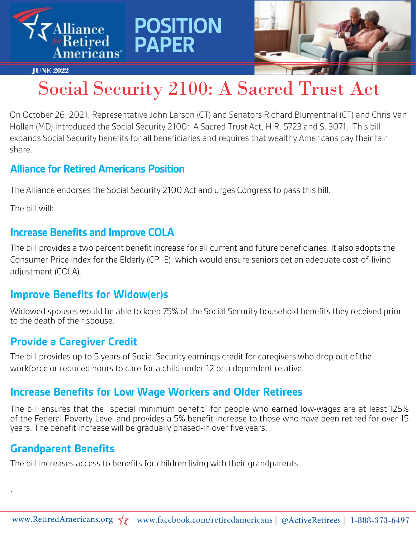



#### **JUNE 2022**

## Social Security 2100: A Sacred Trust Act

On October 26, 2021, Representative John Larson (CT) and Senators Richard Blumenthal (CT) and Chris Van Hollen (MD) introduced the Social Security 2100: A Sacred Trust Act, H.R. 5723 and S. 3071. This bill expands Social Security benefits for all beneficiaries and requires that wealthy Americans pay their fair share.

#### **Alliance for Retired Americans Position**

The Alliance endorses the Social Security 2100 Act and urges Congress to pass this bill.

**POSITION** 

**PAPER**

The bill will:

### **Increase Benefits and Improve COLA**

The bill provides a two percent benefit increase for all current and future beneficiaries. It also adopts the Consumer Price Index for the Elderly (CPI-E), which would ensure seniors get an adequate cost-of-living adjustment (COLA).

## **Improve Benefits for Widow(er)s**

Widowed spouses would be able to keep 75% of the Social Security household benefits they received prior to the death of their spouse.

## **Provide a Caregiver Credit**

The bill provides up to 5 years of Social Security earnings credit for caregivers who drop out of the workforce or reduced hours to care for a child under 12 or a dependent relative.

## **Increase Benefits for Low Wage Workers and Older Retirees**

The bill ensures that the "special minimum benefit" for people who earned low-wages are at least 125% of the Federal Poverty Level and provides a 5% benefit increase to those who have been retired for over 15 years. The benefit increase will be gradually phased-in over five years.

## **Grandparent Benefits**

.

The bill increases access to benefits for children living with their grandparents.